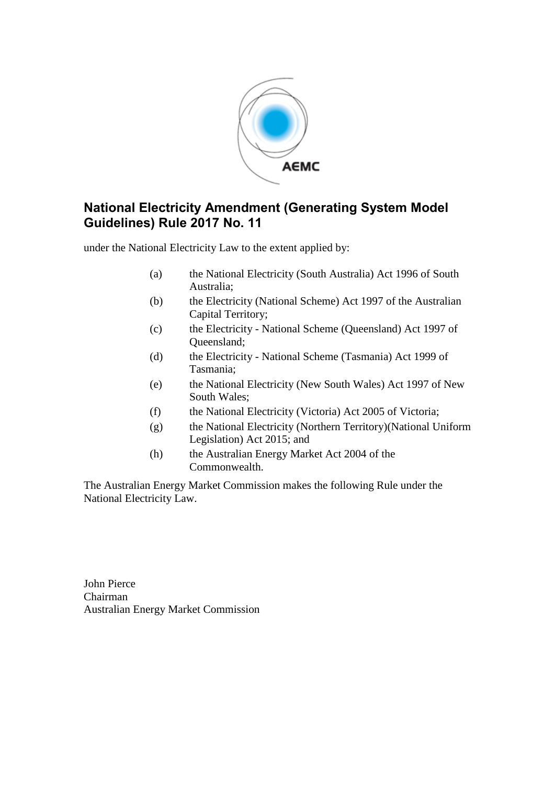

## **National Electricity Amendment (Generating System Model Guidelines) Rule 2017 No. 11**

under the National Electricity Law to the extent applied by:

- (a) the National Electricity (South Australia) Act 1996 of South Australia;
- (b) the Electricity (National Scheme) Act 1997 of the Australian Capital Territory;
- (c) the Electricity National Scheme (Queensland) Act 1997 of Queensland;
- (d) the Electricity National Scheme (Tasmania) Act 1999 of Tasmania;
- (e) the National Electricity (New South Wales) Act 1997 of New South Wales;
- (f) the National Electricity (Victoria) Act 2005 of Victoria;
- (g) the National Electricity (Northern Territory)(National Uniform Legislation) Act 2015; and
- (h) the Australian Energy Market Act 2004 of the Commonwealth.

The Australian Energy Market Commission makes the following Rule under the National Electricity Law.

John Pierce Chairman Australian Energy Market Commission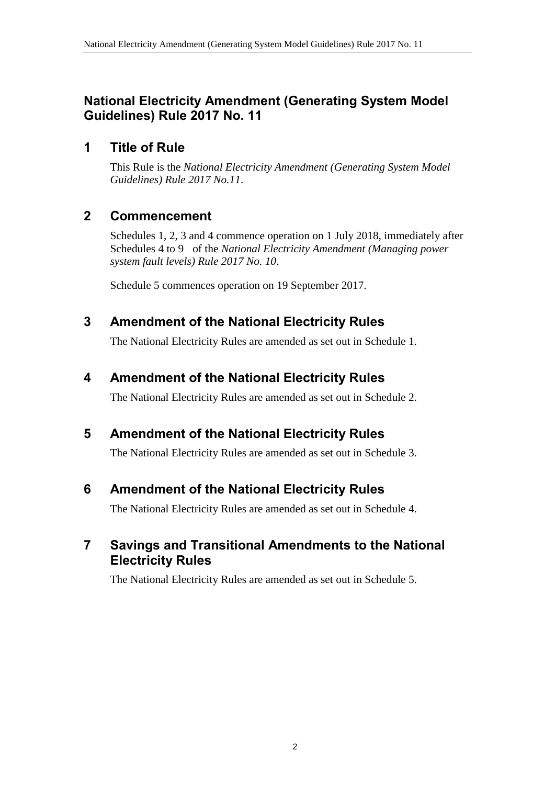## **National Electricity Amendment (Generating System Model Guidelines) Rule 2017 No. 11**

## **1 Title of Rule**

This Rule is the *National Electricity Amendment (Generating System Model Guidelines) Rule 2017 No.11*.

# **2 Commencement**

Schedules 1, 2, 3 and 4 commence operation on 1 July 2018, immediately after Schedules 4 to 9 of the *National Electricity Amendment (Managing power system fault levels) Rule 2017 No. 10*.

Schedule 5 commences operation on 19 September 2017.

## <span id="page-1-0"></span>**3 Amendment of the National Electricity Rules**

The National Electricity Rules are amended as set out in [Schedule 1.](#page-2-0)

## <span id="page-1-1"></span>**4 Amendment of the National Electricity Rules**

The National Electricity Rules are amended as set out in [Schedule 2.](#page-3-0)

# <span id="page-1-2"></span>**5 Amendment of the National Electricity Rules**

The National Electricity Rules are amended as set out in [Schedule 3.](#page-5-0)

# <span id="page-1-3"></span>**6 Amendment of the National Electricity Rules**

The National Electricity Rules are amended as set out in [Schedule 4.](#page-19-0)

## <span id="page-1-4"></span>**7 Savings and Transitional Amendments to the National Electricity Rules**

The National Electricity Rules are amended as set out in [Schedule 5.](#page-20-0)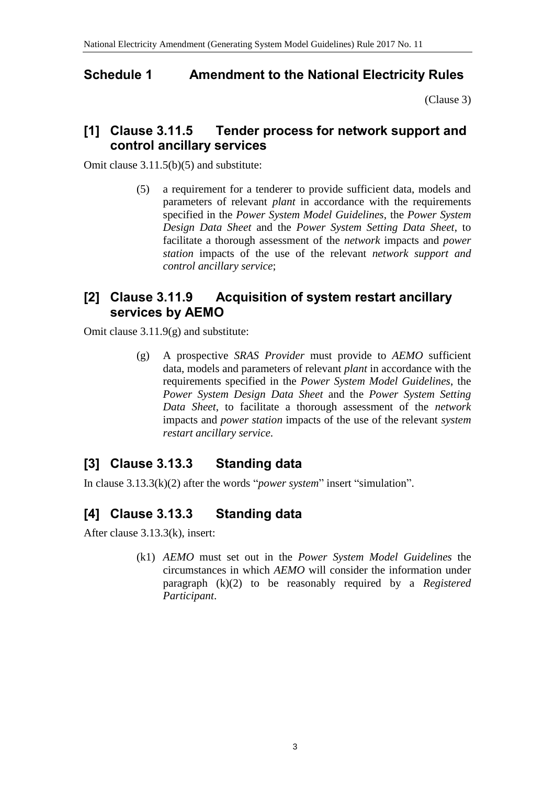## <span id="page-2-0"></span>**Schedule 1 Amendment to the National Electricity Rules**

[\(Clause 3\)](#page-1-0)

## **[1] Clause 3.11.5 Tender process for network support and control ancillary services**

Omit clause 3.11.5(b)(5) and substitute:

(5) a requirement for a tenderer to provide sufficient data, models and parameters of relevant *plant* in accordance with the requirements specified in the *Power System Model Guidelines*, the *Power System Design Data Sheet* and the *Power System Setting Data Sheet*, to facilitate a thorough assessment of the *network* impacts and *power station* impacts of the use of the relevant *network support and control ancillary service*;

## **[2] Clause 3.11.9 Acquisition of system restart ancillary services by AEMO**

Omit clause 3.11.9(g) and substitute:

(g) A prospective *SRAS Provider* must provide to *AEMO* sufficient data, models and parameters of relevant *plant* in accordance with the requirements specified in the *Power System Model Guidelines*, the *Power System Design Data Sheet* and the *Power System Setting Data Sheet*, to facilitate a thorough assessment of the *network* impacts and *power station* impacts of the use of the relevant *system restart ancillary service*.

# **[3] Clause 3.13.3 Standing data**

In clause 3.13.3(k)(2) after the words "*power system*" insert "simulation".

# **[4] Clause 3.13.3 Standing data**

After clause 3.13.3(k), insert:

(k1) *AEMO* must set out in the *Power System Model Guidelines* the circumstances in which *AEMO* will consider the information under paragraph (k)(2) to be reasonably required by a *Registered Participant*.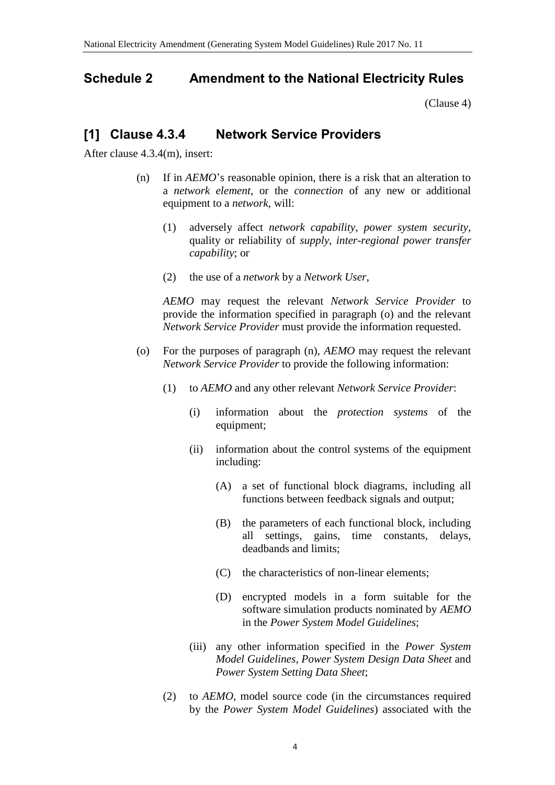#### <span id="page-3-0"></span>**Schedule 2 Amendment to the National Electricity Rules**

[\(Clause 4\)](#page-1-1)

#### **[1] Clause 4.3.4 Network Service Providers**

After clause 4.3.4(m), insert:

- (n) If in *AEMO*'s reasonable opinion, there is a risk that an alteration to a *network element*, or the *connection* of any new or additional equipment to a *network*, will:
	- (1) adversely affect *network capability*, *power system security*, quality or reliability of *supply*, *inter-regional power transfer capability*; or
	- (2) the use of a *network* by a *Network User*,

*AEMO* may request the relevant *Network Service Provider* to provide the information specified in paragraph (o) and the relevant *Network Service Provider* must provide the information requested.

- (o) For the purposes of paragraph (n), *AEMO* may request the relevant *Network Service Provider* to provide the following information:
	- (1) to *AEMO* and any other relevant *Network Service Provider*:
		- (i) information about the *protection systems* of the equipment;
		- (ii) information about the control systems of the equipment including:
			- (A) a set of functional block diagrams, including all functions between feedback signals and output;
			- (B) the parameters of each functional block, including all settings, gains, time constants, delays, deadbands and limits;
			- (C) the characteristics of non-linear elements;
			- (D) encrypted models in a form suitable for the software simulation products nominated by *AEMO* in the *Power System Model Guidelines*;
		- (iii) any other information specified in the *Power System Model Guidelines*, *Power System Design Data Sheet* and *Power System Setting Data Sheet*;
	- (2) to *AEMO*, model source code (in the circumstances required by the *Power System Model Guidelines*) associated with the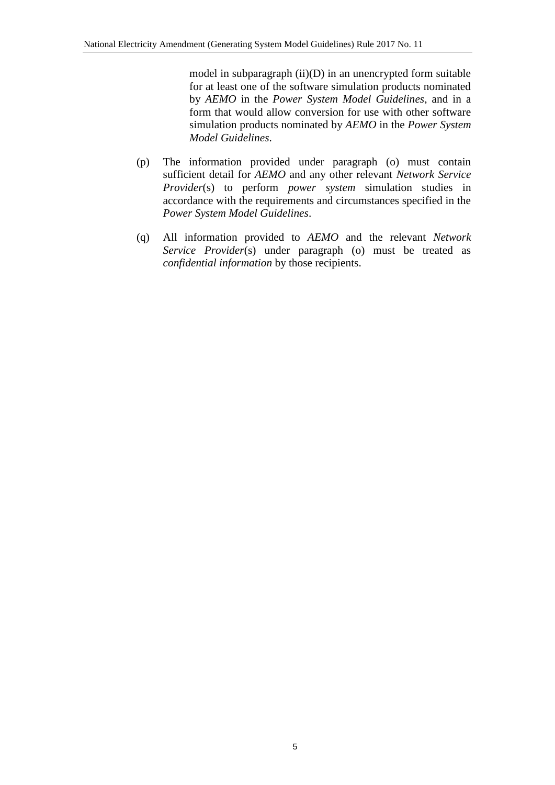model in subparagraph (ii)(D) in an unencrypted form suitable for at least one of the software simulation products nominated by *AEMO* in the *Power System Model Guidelines*, and in a form that would allow conversion for use with other software simulation products nominated by *AEMO* in the *Power System Model Guidelines*.

- (p) The information provided under paragraph (o) must contain sufficient detail for *AEMO* and any other relevant *Network Service Provider*(s) to perform *power system* simulation studies in accordance with the requirements and circumstances specified in the *Power System Model Guidelines*.
- (q) All information provided to *AEMO* and the relevant *Network Service Provider*(s) under paragraph (o) must be treated as *confidential information* by those recipients.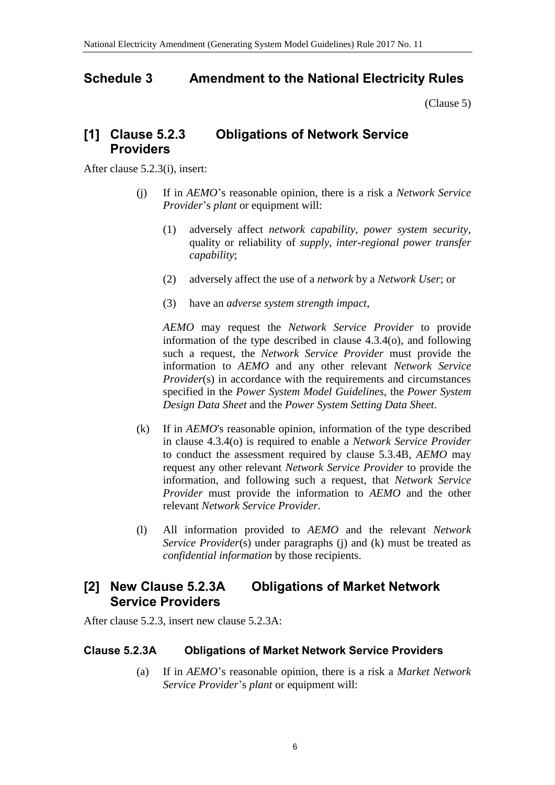## <span id="page-5-0"></span>**Schedule 3 Amendment to the National Electricity Rules**

[\(Clause 5\)](#page-1-2)

#### **[1] Clause 5.2.3 Obligations of Network Service Providers**

After clause 5.2.3(i), insert:

- (j) If in *AEMO*'s reasonable opinion, there is a risk a *Network Service Provider*'s *plant* or equipment will:
	- (1) adversely affect *network capability*, *power system security*, quality or reliability of *supply*, *inter-regional power transfer capability*;
	- (2) adversely affect the use of a *network* by a *Network User*; or
	- (3) have an *adverse system strength impact*,

*AEMO* may request the *Network Service Provider* to provide information of the type described in clause 4.3.4(o), and following such a request, the *Network Service Provider* must provide the information to *AEMO* and any other relevant *Network Service Provider*(s) in accordance with the requirements and circumstances specified in the *Power System Model Guidelines*, the *Power System Design Data Sheet* and the *Power System Setting Data Sheet*.

- (k) If in *AEMO*'s reasonable opinion, information of the type described in clause 4.3.4(o) is required to enable a *Network Service Provider* to conduct the assessment required by clause 5.3.4B, *AEMO* may request any other relevant *Network Service Provider* to provide the information, and following such a request, that *Network Service Provider* must provide the information to *AEMO* and the other relevant *Network Service Provider*.
- (l) All information provided to *AEMO* and the relevant *Network Service Provider*(s) under paragraphs (j) and (k) must be treated as *confidential information* by those recipients.

#### **[2] New Clause 5.2.3A Obligations of Market Network Service Providers**

After clause 5.2.3, insert new clause 5.2.3A:

#### **Clause 5.2.3A Obligations of Market Network Service Providers**

(a) If in *AEMO*'s reasonable opinion, there is a risk a *Market Network Service Provider*'s *plant* or equipment will: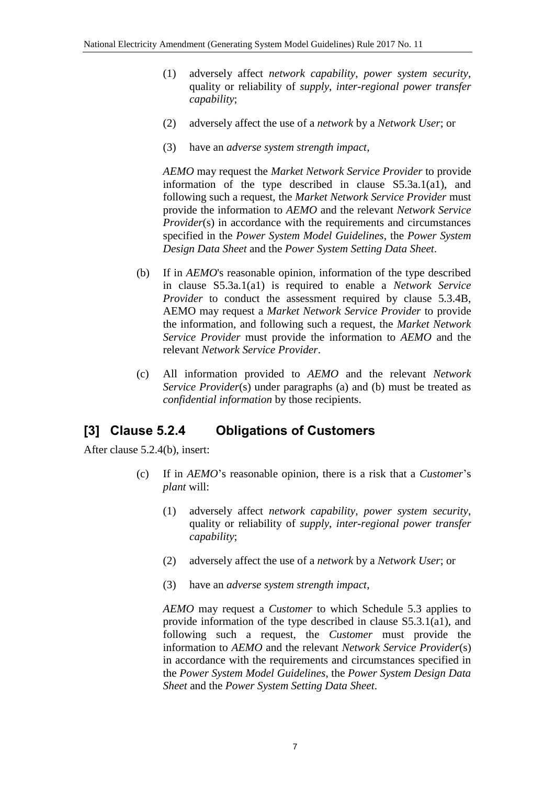- (1) adversely affect *network capability*, *power system security*, quality or reliability of *supply*, *inter-regional power transfer capability*;
- (2) adversely affect the use of a *network* by a *Network User*; or
- (3) have an *adverse system strength impact*,

*AEMO* may request the *Market Network Service Provider* to provide information of the type described in clause S5.3a.1(a1), and following such a request, the *Market Network Service Provider* must provide the information to *AEMO* and the relevant *Network Service Provider*(s) in accordance with the requirements and circumstances specified in the *Power System Model Guidelines*, the *Power System Design Data Sheet* and the *Power System Setting Data Sheet*.

- (b) If in *AEMO*'s reasonable opinion, information of the type described in clause S5.3a.1(a1) is required to enable a *Network Service Provider* to conduct the assessment required by clause 5.3.4B, AEMO may request a *Market Network Service Provider* to provide the information, and following such a request, the *Market Network Service Provider* must provide the information to *AEMO* and the relevant *Network Service Provider*.
- (c) All information provided to *AEMO* and the relevant *Network Service Provider*(s) under paragraphs (a) and (b) must be treated as *confidential information* by those recipients.

## **[3] Clause 5.2.4 Obligations of Customers**

After clause 5.2.4(b), insert:

- (c) If in *AEMO*'s reasonable opinion, there is a risk that a *Customer*'s *plant* will:
	- (1) adversely affect *network capability*, *power system security*, quality or reliability of *supply*, *inter-regional power transfer capability*;
	- (2) adversely affect the use of a *network* by a *Network User*; or
	- (3) have an *adverse system strength impact*,

*AEMO* may request a *Customer* to which Schedule 5.3 applies to provide information of the type described in clause S5.3.1(a1), and following such a request, the *Customer* must provide the information to *AEMO* and the relevant *Network Service Provider*(s) in accordance with the requirements and circumstances specified in the *Power System Model Guidelines*, the *Power System Design Data Sheet* and the *Power System Setting Data Sheet*.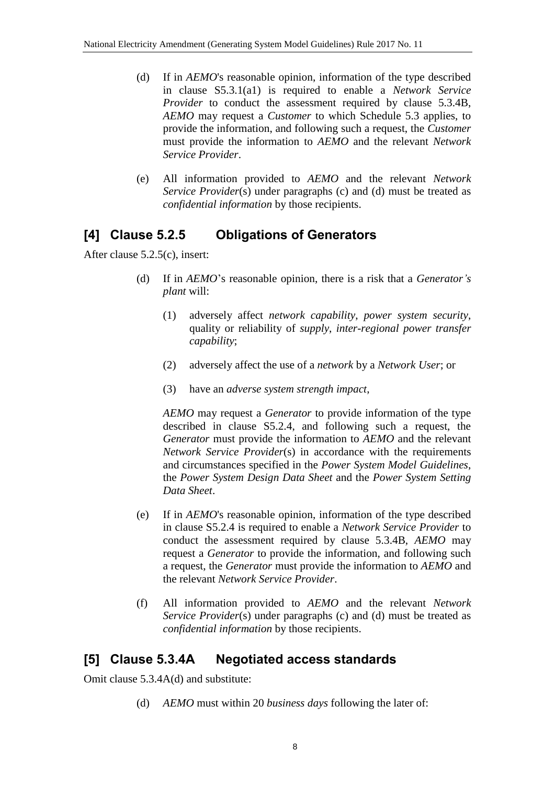- (d) If in *AEMO*'s reasonable opinion, information of the type described in clause S5.3.1(a1) is required to enable a *Network Service Provider* to conduct the assessment required by clause 5.3.4B, *AEMO* may request a *Customer* to which Schedule 5.3 applies, to provide the information, and following such a request, the *Customer* must provide the information to *AEMO* and the relevant *Network Service Provider*.
- (e) All information provided to *AEMO* and the relevant *Network Service Provider*(s) under paragraphs (c) and (d) must be treated as *confidential information* by those recipients.

## **[4] Clause 5.2.5 Obligations of Generators**

After clause 5.2.5(c), insert:

- (d) If in *AEMO*'s reasonable opinion, there is a risk that a *Generator's plant* will:
	- (1) adversely affect *network capability*, *power system security*, quality or reliability of *supply*, *inter-regional power transfer capability*;
	- (2) adversely affect the use of a *network* by a *Network User*; or
	- (3) have an *adverse system strength impact*,

*AEMO* may request a *Generator* to provide information of the type described in clause S5.2.4, and following such a request, the *Generator* must provide the information to *AEMO* and the relevant *Network Service Provider*(s) in accordance with the requirements and circumstances specified in the *Power System Model Guidelines*, the *Power System Design Data Sheet* and the *Power System Setting Data Sheet*.

- (e) If in *AEMO*'s reasonable opinion, information of the type described in clause S5.2.4 is required to enable a *Network Service Provider* to conduct the assessment required by clause 5.3.4B, *AEMO* may request a *Generator* to provide the information, and following such a request, the *Generator* must provide the information to *AEMO* and the relevant *Network Service Provider*.
- (f) All information provided to *AEMO* and the relevant *Network Service Provider*(s) under paragraphs (c) and (d) must be treated as *confidential information* by those recipients.

## **[5] Clause 5.3.4A Negotiated access standards**

Omit clause 5.3.4A(d) and substitute:

(d) *AEMO* must within 20 *business days* following the later of: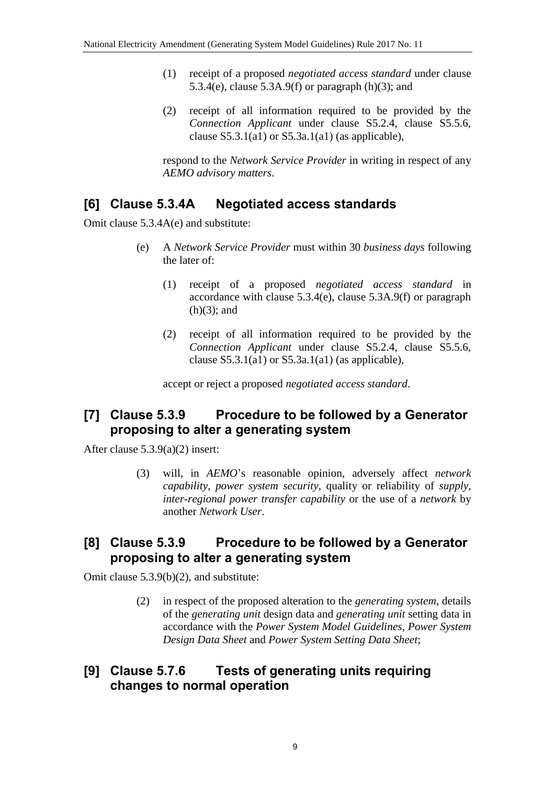- (1) receipt of a proposed *negotiated access standard* under clause 5.3.4(e), clause 5.3A.9(f) or paragraph  $(h)(3)$ ; and
- (2) receipt of all information required to be provided by the *Connection Applicant* under clause S5.2.4, clause S5.5.6, clause  $S5.3.1(a1)$  or  $S5.3a.1(a1)$  (as applicable),

respond to the *Network Service Provider* in writing in respect of any *AEMO advisory matters*.

## **[6] Clause 5.3.4A Negotiated access standards**

Omit clause 5.3.4A(e) and substitute:

- (e) A *Network Service Provider* must within 30 *business days* following the later of:
	- (1) receipt of a proposed *negotiated access standard* in accordance with clause 5.3.4(e), clause 5.3A.9(f) or paragraph  $(h)(3)$ ; and
	- (2) receipt of all information required to be provided by the *Connection Applicant* under clause S5.2.4, clause S5.5.6, clause  $S5.3.1(a1)$  or  $S5.3a.1(a1)$  (as applicable),

accept or reject a proposed *negotiated access standard*.

## **[7] Clause 5.3.9 Procedure to be followed by a Generator proposing to alter a generating system**

After clause 5.3.9(a)(2) insert:

(3) will, in *AEMO*'s reasonable opinion, adversely affect *network capability*, *power system security*, quality or reliability of *supply*, *inter-regional power transfer capability* or the use of a *network* by another *Network User*.

#### **[8] Clause 5.3.9 Procedure to be followed by a Generator proposing to alter a generating system**

Omit clause 5.3.9(b)(2), and substitute:

(2) in respect of the proposed alteration to the *generating system*, details of the *generating unit* design data and *generating unit* setting data in accordance with the *Power System Model Guidelines*, *Power System Design Data Sheet* and *Power System Setting Data Sheet*;

#### **[9] Clause 5.7.6 Tests of generating units requiring changes to normal operation**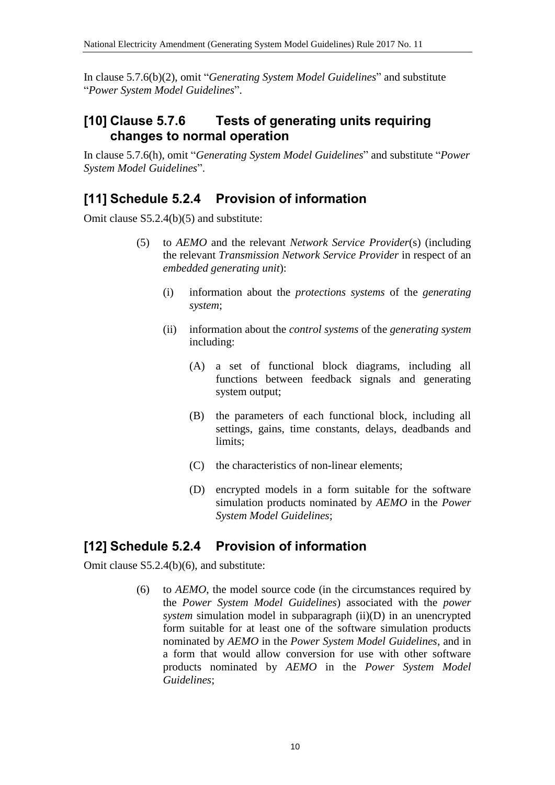In clause 5.7.6(b)(2), omit "*Generating System Model Guidelines*" and substitute "*Power System Model Guidelines*".

## **[10] Clause 5.7.6 Tests of generating units requiring changes to normal operation**

In clause 5.7.6(h), omit "*Generating System Model Guidelines*" and substitute "*Power System Model Guidelines*".

## **[11] Schedule 5.2.4 Provision of information**

Omit clause S5.2.4(b)(5) and substitute:

- (5) to *AEMO* and the relevant *Network Service Provider*(s) (including the relevant *Transmission Network Service Provider* in respect of an *embedded generating unit*):
	- (i) information about the *protections systems* of the *generating system*;
	- (ii) information about the *control systems* of the *generating system* including:
		- (A) a set of functional block diagrams, including all functions between feedback signals and generating system output;
		- (B) the parameters of each functional block, including all settings, gains, time constants, delays, deadbands and limits;
		- (C) the characteristics of non-linear elements;
		- (D) encrypted models in a form suitable for the software simulation products nominated by *AEMO* in the *Power System Model Guidelines*;

## **[12] Schedule 5.2.4 Provision of information**

Omit clause S5.2.4(b)(6), and substitute:

(6) to *AEMO*, the model source code (in the circumstances required by the *Power System Model Guidelines*) associated with the *power system* simulation model in subparagraph (ii)(D) in an unencrypted form suitable for at least one of the software simulation products nominated by *AEMO* in the *Power System Model Guidelines*, and in a form that would allow conversion for use with other software products nominated by *AEMO* in the *Power System Model Guidelines*;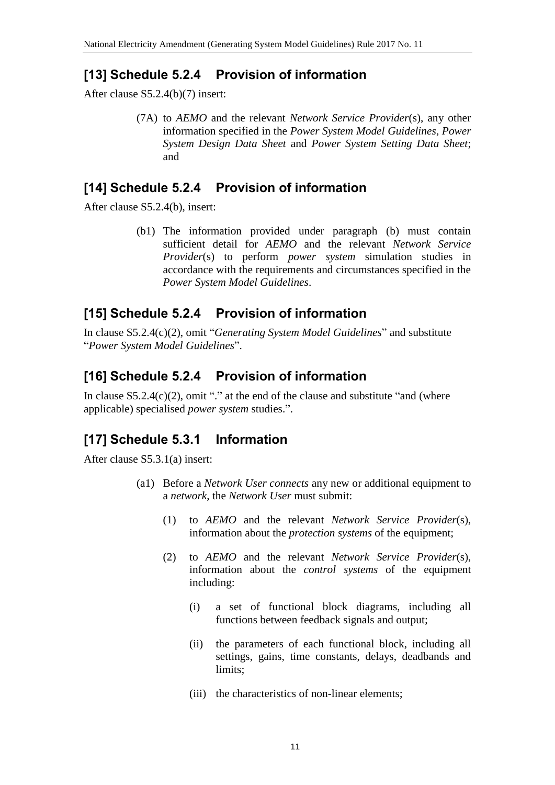## **[13] Schedule 5.2.4 Provision of information**

After clause S5.2.4(b)(7) insert:

(7A) to *AEMO* and the relevant *Network Service Provider*(s), any other information specified in the *Power System Model Guidelines*, *Power System Design Data Sheet* and *Power System Setting Data Sheet*; and

#### **[14] Schedule 5.2.4 Provision of information**

After clause S5.2.4(b), insert:

(b1) The information provided under paragraph (b) must contain sufficient detail for *AEMO* and the relevant *Network Service Provider*(s) to perform *power system* simulation studies in accordance with the requirements and circumstances specified in the *Power System Model Guidelines*.

## **[15] Schedule 5.2.4 Provision of information**

In clause S5.2.4(c)(2), omit "*Generating System Model Guidelines*" and substitute "*Power System Model Guidelines*".

## **[16] Schedule 5.2.4 Provision of information**

In clause  $S5.2.4(c)(2)$ , omit "." at the end of the clause and substitute "and (where applicable) specialised *power system* studies.".

## **[17] Schedule 5.3.1 Information**

After clause S5.3.1(a) insert:

- (a1) Before a *Network User connects* any new or additional equipment to a *network*, the *Network User* must submit:
	- (1) to *AEMO* and the relevant *Network Service Provider*(s), information about the *protection systems* of the equipment;
	- (2) to *AEMO* and the relevant *Network Service Provider*(s), information about the *control systems* of the equipment including:
		- (i) a set of functional block diagrams, including all functions between feedback signals and output;
		- (ii) the parameters of each functional block, including all settings, gains, time constants, delays, deadbands and limits;
		- (iii) the characteristics of non-linear elements;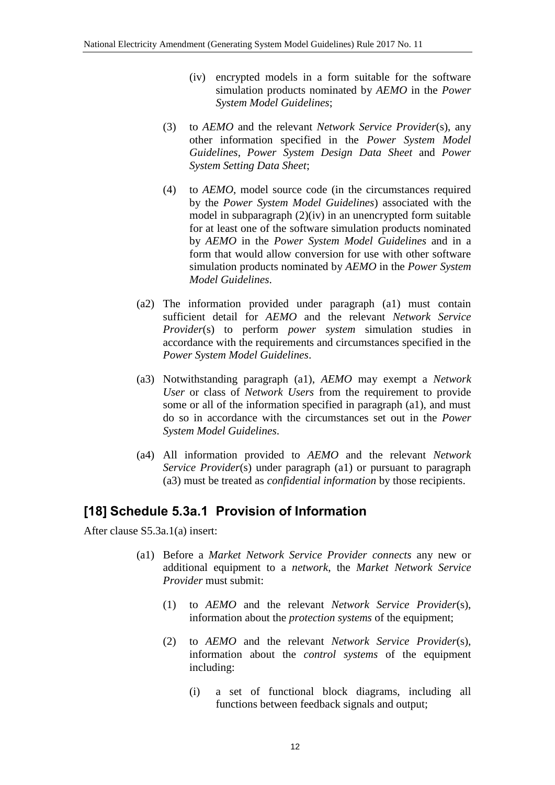- (iv) encrypted models in a form suitable for the software simulation products nominated by *AEMO* in the *Power System Model Guidelines*;
- (3) to *AEMO* and the relevant *Network Service Provider*(s), any other information specified in the *Power System Model Guidelines*, *Power System Design Data Sheet* and *Power System Setting Data Sheet*;
- (4) to *AEMO*, model source code (in the circumstances required by the *Power System Model Guidelines*) associated with the model in subparagraph (2)(iv) in an unencrypted form suitable for at least one of the software simulation products nominated by *AEMO* in the *Power System Model Guidelines* and in a form that would allow conversion for use with other software simulation products nominated by *AEMO* in the *Power System Model Guidelines*.
- (a2) The information provided under paragraph (a1) must contain sufficient detail for *AEMO* and the relevant *Network Service Provider*(s) to perform *power system* simulation studies in accordance with the requirements and circumstances specified in the *Power System Model Guidelines*.
- (a3) Notwithstanding paragraph (a1), *AEMO* may exempt a *Network User* or class of *Network Users* from the requirement to provide some or all of the information specified in paragraph (a1), and must do so in accordance with the circumstances set out in the *Power System Model Guidelines*.
- (a4) All information provided to *AEMO* and the relevant *Network Service Provider*(s) under paragraph (a1) or pursuant to paragraph (a3) must be treated as *confidential information* by those recipients.

## **[18] Schedule 5.3a.1 Provision of Information**

After clause S5.3a.1(a) insert:

- (a1) Before a *Market Network Service Provider connects* any new or additional equipment to a *network*, the *Market Network Service Provider* must submit:
	- (1) to *AEMO* and the relevant *Network Service Provider*(s), information about the *protection systems* of the equipment;
	- (2) to *AEMO* and the relevant *Network Service Provider*(s), information about the *control systems* of the equipment including:
		- (i) a set of functional block diagrams, including all functions between feedback signals and output;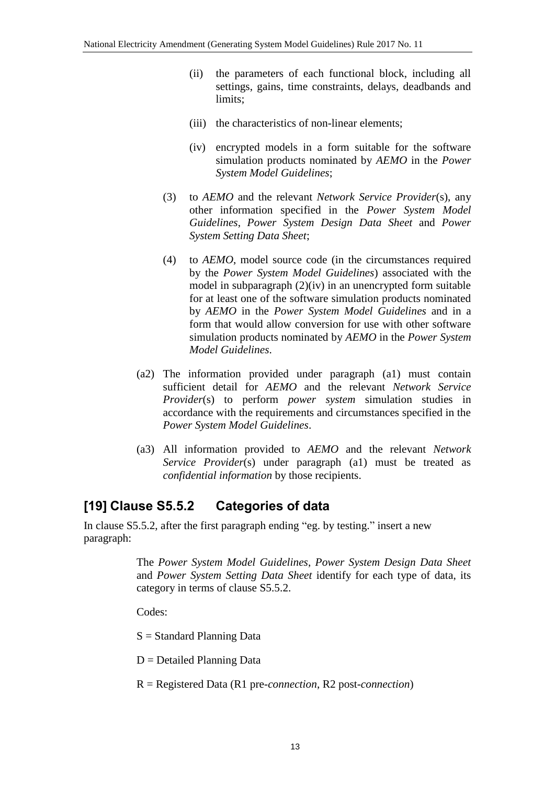- (ii) the parameters of each functional block, including all settings, gains, time constraints, delays, deadbands and limits;
- (iii) the characteristics of non-linear elements;
- (iv) encrypted models in a form suitable for the software simulation products nominated by *AEMO* in the *Power System Model Guidelines*;
- (3) to *AEMO* and the relevant *Network Service Provider*(s), any other information specified in the *Power System Model Guidelines*, *Power System Design Data Sheet* and *Power System Setting Data Sheet*;
- (4) to *AEMO*, model source code (in the circumstances required by the *Power System Model Guidelines*) associated with the model in subparagraph (2)(iv) in an unencrypted form suitable for at least one of the software simulation products nominated by *AEMO* in the *Power System Model Guidelines* and in a form that would allow conversion for use with other software simulation products nominated by *AEMO* in the *Power System Model Guidelines*.
- (a2) The information provided under paragraph (a1) must contain sufficient detail for *AEMO* and the relevant *Network Service Provider*(s) to perform *power system* simulation studies in accordance with the requirements and circumstances specified in the *Power System Model Guidelines*.
- (a3) All information provided to *AEMO* and the relevant *Network Service Provider*(s) under paragraph (a1) must be treated as *confidential information* by those recipients.

# **[19] Clause S5.5.2 Categories of data**

In clause S5.5.2, after the first paragraph ending "eg. by testing." insert a new paragraph:

> The *Power System Model Guidelines*, *Power System Design Data Sheet* and *Power System Setting Data Sheet* identify for each type of data, its category in terms of clause S5.5.2.

Codes:

S = Standard Planning Data

D = Detailed Planning Data

R = Registered Data (R1 pre-*connection*, R2 post-*connection*)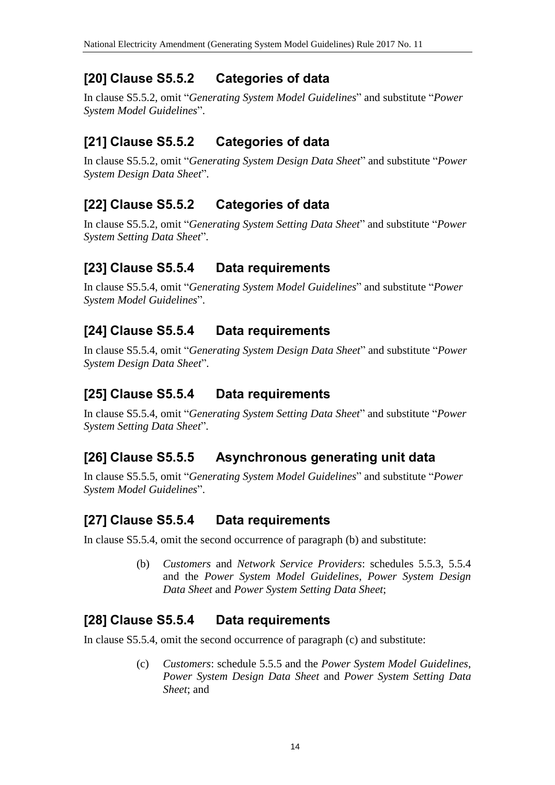## **[20] Clause S5.5.2 Categories of data**

In clause S5.5.2, omit "*Generating System Model Guidelines*" and substitute "*Power System Model Guidelines*".

## **[21] Clause S5.5.2 Categories of data**

In clause S5.5.2, omit "*Generating System Design Data Sheet*" and substitute "*Power System Design Data Sheet*".

# **[22] Clause S5.5.2 Categories of data**

In clause S5.5.2, omit "*Generating System Setting Data Sheet*" and substitute "*Power System Setting Data Sheet*".

## **[23] Clause S5.5.4 Data requirements**

In clause S5.5.4, omit "*Generating System Model Guidelines*" and substitute "*Power System Model Guidelines*".

## **[24] Clause S5.5.4 Data requirements**

In clause S5.5.4, omit "*Generating System Design Data Sheet*" and substitute "*Power System Design Data Sheet*".

## **[25] Clause S5.5.4 Data requirements**

In clause S5.5.4, omit "*Generating System Setting Data Sheet*" and substitute "*Power System Setting Data Sheet*".

# **[26] Clause S5.5.5 Asynchronous generating unit data**

In clause S5.5.5, omit "*Generating System Model Guidelines*" and substitute "*Power System Model Guidelines*".

# **[27] Clause S5.5.4 Data requirements**

In clause S5.5.4, omit the second occurrence of paragraph (b) and substitute:

(b) *Customers* and *Network Service Providers*: schedules 5.5.3, 5.5.4 and the *Power System Model Guidelines*, *Power System Design Data Sheet* and *Power System Setting Data Sheet*;

## **[28] Clause S5.5.4 Data requirements**

In clause S5.5.4, omit the second occurrence of paragraph (c) and substitute:

(c) *Customers*: schedule 5.5.5 and the *Power System Model Guidelines*, *Power System Design Data Sheet* and *Power System Setting Data Sheet*; and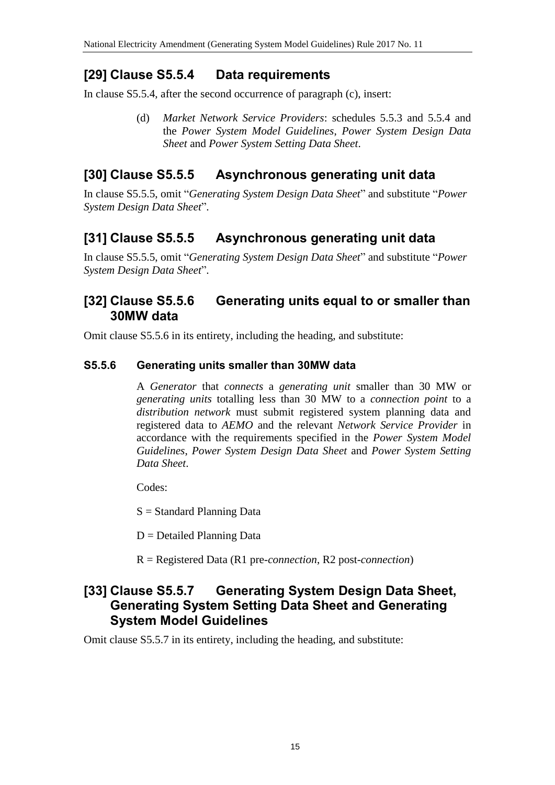## **[29] Clause S5.5.4 Data requirements**

In clause S5.5.4, after the second occurrence of paragraph (c), insert:

(d) *Market Network Service Providers*: schedules 5.5.3 and 5.5.4 and the *Power System Model Guidelines*, *Power System Design Data Sheet* and *Power System Setting Data Sheet*.

## **[30] Clause S5.5.5 Asynchronous generating unit data**

In clause S5.5.5, omit "*Generating System Design Data Sheet*" and substitute "*Power System Design Data Sheet*".

# **[31] Clause S5.5.5 Asynchronous generating unit data**

In clause S5.5.5, omit "*Generating System Design Data Sheet*" and substitute "*Power System Design Data Sheet*".

#### **[32] Clause S5.5.6 Generating units equal to or smaller than 30MW data**

Omit clause S5.5.6 in its entirety, including the heading, and substitute:

#### **S5.5.6 Generating units smaller than 30MW data**

A *Generator* that *connects* a *generating unit* smaller than 30 MW or *generating units* totalling less than 30 MW to a *connection point* to a *distribution network* must submit registered system planning data and registered data to *AEMO* and the relevant *Network Service Provider* in accordance with the requirements specified in the *Power System Model Guidelines*, *Power System Design Data Sheet* and *Power System Setting Data Sheet*.

Codes:

S = Standard Planning Data

 $D =$ Detailed Planning Data

R = Registered Data (R1 pre-*connection*, R2 post-*connection*)

#### **[33] Clause S5.5.7 Generating System Design Data Sheet, Generating System Setting Data Sheet and Generating System Model Guidelines**

Omit clause S5.5.7 in its entirety, including the heading, and substitute: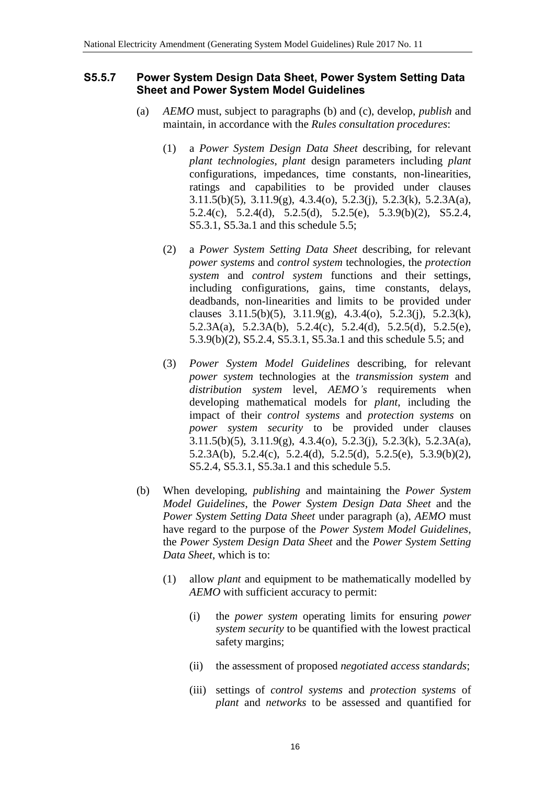#### **S5.5.7 Power System Design Data Sheet, Power System Setting Data Sheet and Power System Model Guidelines**

- (a) *AEMO* must, subject to paragraphs (b) and (c), develop, *publish* and maintain, in accordance with the *Rules consultation procedures*:
	- (1) a *Power System Design Data Sheet* describing, for relevant *plant technologies*, *plant* design parameters including *plant* configurations, impedances, time constants, non-linearities, ratings and capabilities to be provided under clauses 3.11.5(b)(5), 3.11.9(g), 4.3.4(o), 5.2.3(j), 5.2.3(k), 5.2.3A(a), 5.2.4(c), 5.2.4(d), 5.2.5(d), 5.2.5(e), 5.3.9(b)(2), S5.2.4, S5.3.1, S5.3a.1 and this schedule 5.5;
	- (2) a *Power System Setting Data Sheet* describing, for relevant *power systems* and *control system* technologies, the *protection system* and *control system* functions and their settings, including configurations, gains, time constants, delays, deadbands, non-linearities and limits to be provided under clauses 3.11.5(b)(5), 3.11.9(g), 4.3.4(o), 5.2.3(j), 5.2.3(k), 5.2.3A(a), 5.2.3A(b), 5.2.4(c), 5.2.4(d), 5.2.5(d), 5.2.5(e), 5.3.9(b)(2), S5.2.4, S5.3.1, S5.3a.1 and this schedule 5.5; and
	- (3) *Power System Model Guidelines* describing, for relevant *power system* technologies at the *transmission system* and *distribution system* level, *AEMO's* requirements when developing mathematical models for *plant*, including the impact of their *control systems* and *protection systems* on *power system security* to be provided under clauses 3.11.5(b)(5), 3.11.9(g), 4.3.4(o), 5.2.3(j), 5.2.3(k), 5.2.3A(a), 5.2.3A(b), 5.2.4(c), 5.2.4(d), 5.2.5(d), 5.2.5(e), 5.3.9(b)(2), S5.2.4, S5.3.1, S5.3a.1 and this schedule 5.5.
- (b) When developing, *publishing* and maintaining the *Power System Model Guidelines*, the *Power System Design Data Sheet* and the *Power System Setting Data Sheet* under paragraph (a), *AEMO* must have regard to the purpose of the *Power System Model Guidelines*, the *Power System Design Data Sheet* and the *Power System Setting Data Sheet*, which is to:
	- (1) allow *plant* and equipment to be mathematically modelled by *AEMO* with sufficient accuracy to permit:
		- (i) the *power system* operating limits for ensuring *power system security* to be quantified with the lowest practical safety margins;
		- (ii) the assessment of proposed *negotiated access standards*;
		- (iii) settings of *control systems* and *protection systems* of *plant* and *networks* to be assessed and quantified for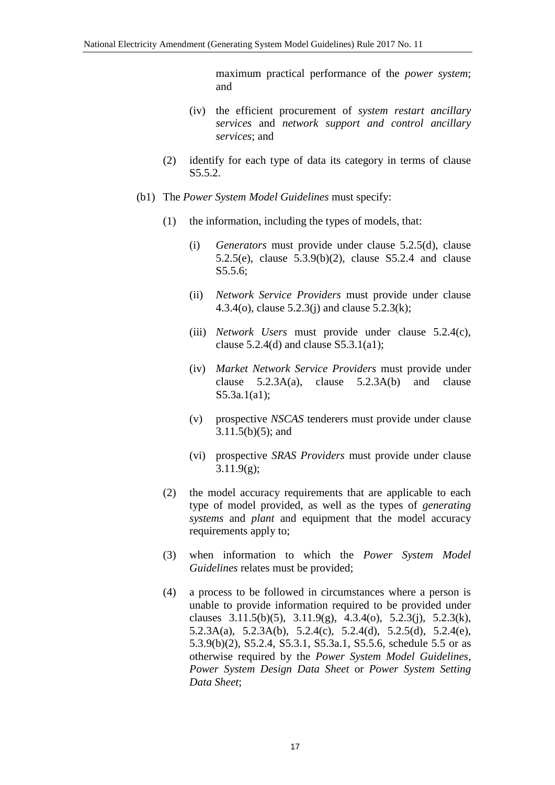maximum practical performance of the *power system*; and

- (iv) the efficient procurement of *system restart ancillary services* and *network support and control ancillary services*; and
- (2) identify for each type of data its category in terms of clause S5.5.2.
- (b1) The *Power System Model Guidelines* must specify:
	- (1) the information, including the types of models, that:
		- (i) *Generators* must provide under clause 5.2.5(d), clause 5.2.5(e), clause 5.3.9(b)(2), clause S5.2.4 and clause S5.5.6;
		- (ii) *Network Service Providers* must provide under clause 4.3.4(o), clause 5.2.3(j) and clause 5.2.3(k);
		- (iii) *Network Users* must provide under clause 5.2.4(c), clause  $5.2.4(d)$  and clause  $S5.3.1(a1)$ ;
		- (iv) *Market Network Service Providers* must provide under clause 5.2.3A(a), clause 5.2.3A(b) and clause S5.3a.1(a1);
		- (v) prospective *NSCAS* tenderers must provide under clause 3.11.5(b)(5); and
		- (vi) prospective *SRAS Providers* must provide under clause  $3.11.9(g)$ ;
	- (2) the model accuracy requirements that are applicable to each type of model provided, as well as the types of *generating systems* and *plant* and equipment that the model accuracy requirements apply to;
	- (3) when information to which the *Power System Model Guidelines* relates must be provided;
	- (4) a process to be followed in circumstances where a person is unable to provide information required to be provided under clauses  $3.11.5(b)(5)$ ,  $3.11.9(g)$ ,  $4.3.4(o)$ ,  $5.2.3(i)$ ,  $5.2.3(k)$ , 5.2.3A(a), 5.2.3A(b), 5.2.4(c), 5.2.4(d), 5.2.5(d), 5.2.4(e), 5.3.9(b)(2), S5.2.4, S5.3.1, S5.3a.1, S5.5.6, schedule 5.5 or as otherwise required by the *Power System Model Guidelines*, *Power System Design Data Sheet* or *Power System Setting Data Sheet*;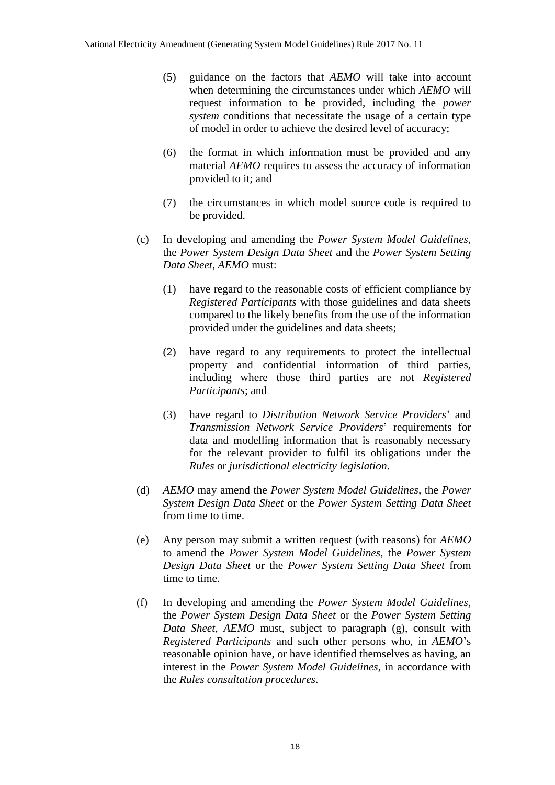- (5) guidance on the factors that *AEMO* will take into account when determining the circumstances under which *AEMO* will request information to be provided, including the *power system* conditions that necessitate the usage of a certain type of model in order to achieve the desired level of accuracy;
- (6) the format in which information must be provided and any material *AEMO* requires to assess the accuracy of information provided to it; and
- (7) the circumstances in which model source code is required to be provided.
- (c) In developing and amending the *Power System Model Guidelines*, the *Power System Design Data Sheet* and the *Power System Setting Data Sheet*, *AEMO* must:
	- (1) have regard to the reasonable costs of efficient compliance by *Registered Participants* with those guidelines and data sheets compared to the likely benefits from the use of the information provided under the guidelines and data sheets;
	- (2) have regard to any requirements to protect the intellectual property and confidential information of third parties, including where those third parties are not *Registered Participants*; and
	- (3) have regard to *Distribution Network Service Providers*' and *Transmission Network Service Providers*' requirements for data and modelling information that is reasonably necessary for the relevant provider to fulfil its obligations under the *Rules* or *jurisdictional electricity legislation*.
- (d) *AEMO* may amend the *Power System Model Guidelines*, the *Power System Design Data Sheet* or the *Power System Setting Data Sheet*  from time to time.
- (e) Any person may submit a written request (with reasons) for *AEMO* to amend the *Power System Model Guidelines*, the *Power System Design Data Sheet* or the *Power System Setting Data Sheet* from time to time.
- (f) In developing and amending the *Power System Model Guidelines*, the *Power System Design Data Sheet* or the *Power System Setting Data Sheet*, *AEMO* must, subject to paragraph (g), consult with *Registered Participants* and such other persons who, in *AEMO*'s reasonable opinion have, or have identified themselves as having, an interest in the *Power System Model Guidelines*, in accordance with the *Rules consultation procedures*.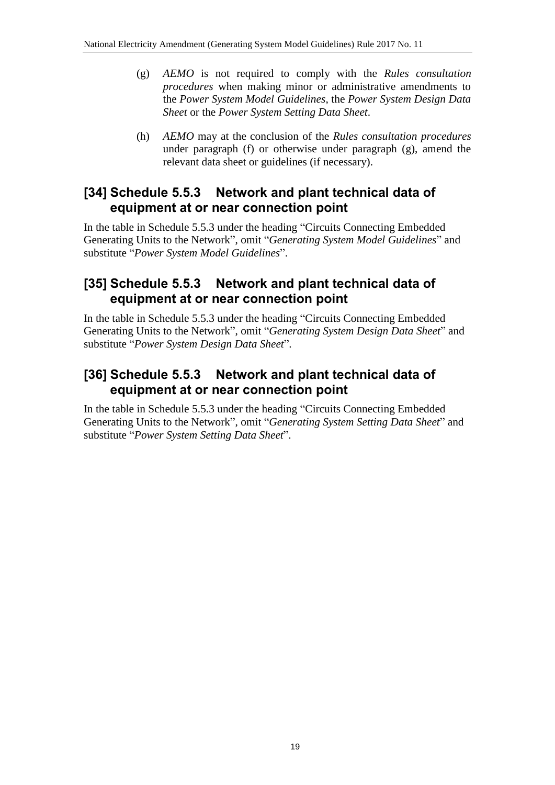- (g) *AEMO* is not required to comply with the *Rules consultation procedures* when making minor or administrative amendments to the *Power System Model Guidelines*, the *Power System Design Data Sheet* or the *Power System Setting Data Sheet*.
- (h) *AEMO* may at the conclusion of the *Rules consultation procedures* under paragraph (f) or otherwise under paragraph (g), amend the relevant data sheet or guidelines (if necessary).

#### **[34] Schedule 5.5.3 Network and plant technical data of equipment at or near connection point**

In the table in Schedule 5.5.3 under the heading "Circuits Connecting Embedded Generating Units to the Network", omit "*Generating System Model Guidelines*" and substitute "*Power System Model Guidelines*".

## **[35] Schedule 5.5.3 Network and plant technical data of equipment at or near connection point**

In the table in Schedule 5.5.3 under the heading "Circuits Connecting Embedded Generating Units to the Network", omit "*Generating System Design Data Sheet*" and substitute "*Power System Design Data Sheet*".

## **[36] Schedule 5.5.3 Network and plant technical data of equipment at or near connection point**

In the table in Schedule 5.5.3 under the heading "Circuits Connecting Embedded Generating Units to the Network", omit "*Generating System Setting Data Sheet*" and substitute "*Power System Setting Data Sheet*".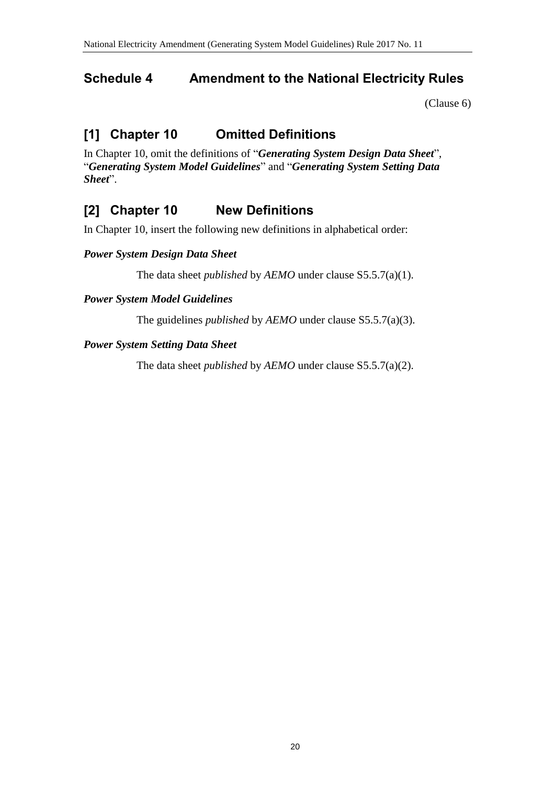## <span id="page-19-0"></span>**Schedule 4 Amendment to the National Electricity Rules**

[\(Clause 6\)](#page-1-3)

# **[1] Chapter 10 Omitted Definitions**

In Chapter 10, omit the definitions of "*Generating System Design Data Sheet*", "*Generating System Model Guidelines*" and "*Generating System Setting Data Sheet*".

# **[2] Chapter 10 New Definitions**

In Chapter 10, insert the following new definitions in alphabetical order:

#### *Power System Design Data Sheet*

The data sheet *published* by *AEMO* under clause S5.5.7(a)(1).

#### *Power System Model Guidelines*

The guidelines *published* by *AEMO* under clause S5.5.7(a)(3).

#### *Power System Setting Data Sheet*

The data sheet *published* by *AEMO* under clause S5.5.7(a)(2).